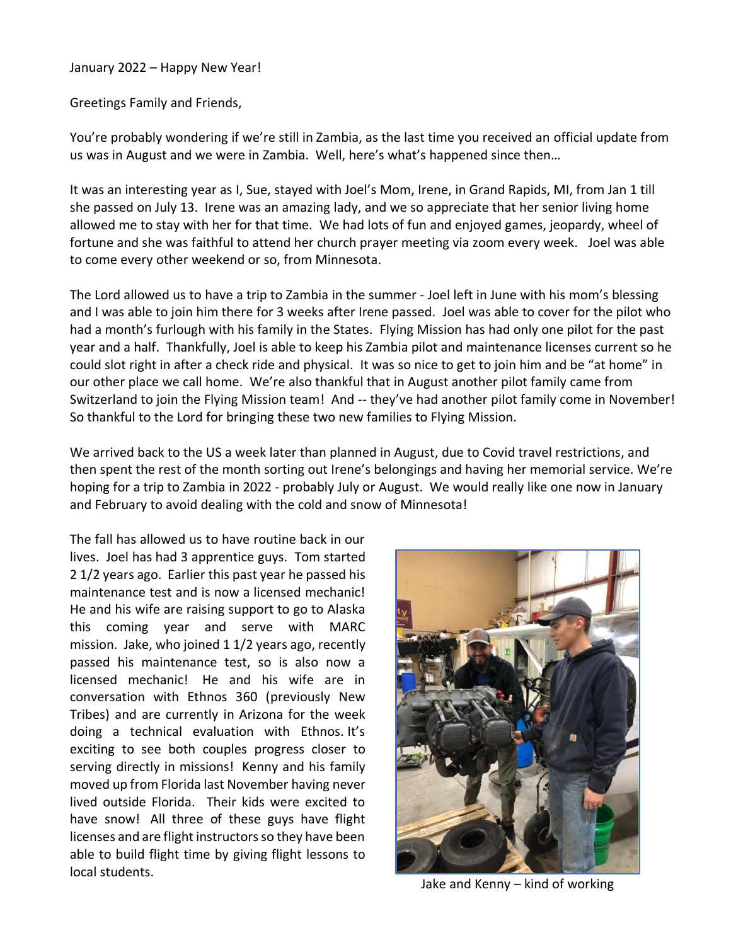January 2022 – Happy New Year!

Greetings Family and Friends,

You're probably wondering if we're still in Zambia, as the last time you received an official update from us was in August and we were in Zambia. Well, here's what's happened since then…

It was an interesting year as I, Sue, stayed with Joel's Mom, Irene, in Grand Rapids, MI, from Jan 1 till she passed on July 13. Irene was an amazing lady, and we so appreciate that her senior living home allowed me to stay with her for that time. We had lots of fun and enjoyed games, jeopardy, wheel of fortune and she was faithful to attend her church prayer meeting via zoom every week. Joel was able to come every other weekend or so, from Minnesota.

The Lord allowed us to have a trip to Zambia in the summer - Joel left in June with his mom's blessing and I was able to join him there for 3 weeks after Irene passed. Joel was able to cover for the pilot who had a month's furlough with his family in the States. Flying Mission has had only one pilot for the past year and a half. Thankfully, Joel is able to keep his Zambia pilot and maintenance licenses current so he could slot right in after a check ride and physical. It was so nice to get to join him and be "at home" in our other place we call home. We're also thankful that in August another pilot family came from Switzerland to join the Flying Mission team! And -- they've had another pilot family come in November! So thankful to the Lord for bringing these two new families to Flying Mission.

We arrived back to the US a week later than planned in August, due to Covid travel restrictions, and then spent the rest of the month sorting out Irene's belongings and having her memorial service. We're hoping for a trip to Zambia in 2022 - probably July or August. We would really like one now in January and February to avoid dealing with the cold and snow of Minnesota!

The fall has allowed us to have routine back in our lives. Joel has had 3 apprentice guys. Tom started 2 1/2 years ago. Earlier this past year he passed his maintenance test and is now a licensed mechanic! He and his wife are raising support to go to Alaska this coming year and serve with MARC mission. Jake, who joined 1 1/2 years ago, recently passed his maintenance test, so is also now a licensed mechanic! He and his wife are in conversation with Ethnos 360 (previously New Tribes) and are currently in Arizona for the week doing a technical evaluation with Ethnos. It's exciting to see both couples progress closer to serving directly in missions! Kenny and his family moved up from Florida last November having never lived outside Florida. Their kids were excited to have snow! All three of these guys have flight licenses and are flight instructors so they have been able to build flight time by giving flight lessons to local students.



Jake and Kenny – kind of working